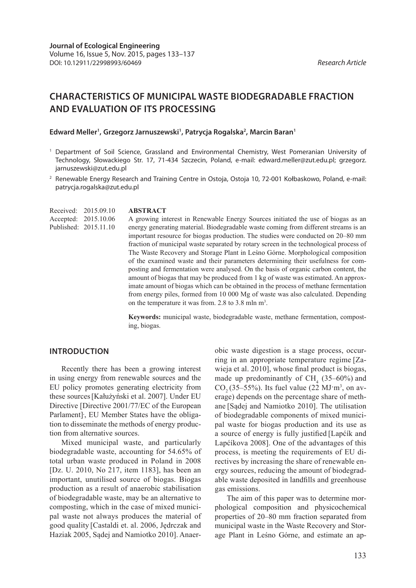# **CHARACTERISTICS OF MUNICIPAL WASTE BIODEGRADABLE FRACTION AND EVALUATION OF ITS PROCESSING**

Edward Meller<sup>1</sup>, Grzegorz Jarnuszewski<sup>1</sup>, Patrycja Rogalska<sup>2</sup>, Marcin Baran<sup>1</sup>

**ABSTRACT**

- <sup>1</sup> Department of Soil Science, Grassland and Environmental Chemistry, West Pomeranian University of Technology, Słowackiego Str. 17, 71-434 Szczecin, Poland, e-mail: edward.meller@zut.edu.pl; grzegorz. jarnuszewski@zut.edu.pl
- <sup>2</sup> Renewable Energy Research and Training Centre in Ostoja, Ostoja 10, 72-001 Kołbaskowo, Poland, e-mail: patrycja.rogalska@zut.edu.pl

Received: 2015.09.10 Accepted: 2015.10.06 Published: 2015.11.10

A growing interest in Renewable Energy Sources initiated the use of biogas as an energy generating material. Biodegradable waste coming from different streams is an important resource for biogas production. The studies were conducted on 20–80 mm fraction of municipal waste separated by rotary screen in the technological process of The Waste Recovery and Storage Plant in Leśno Górne. Morphological composition of the examined waste and their parameters determining their usefulness for composting and fermentation were analysed. On the basis of organic carbon content, the amount of biogas that may be produced from 1 kg of waste was estimated. An approximate amount of biogas which can be obtained in the process of methane fermentation from energy piles, formed from 10 000 Mg of waste was also calculated. Depending on the temperature it was from. 2.8 to 3.8 mln m<sup>3</sup>.

**Keywords:** municipal waste, biodegradable waste, methane fermentation, composting, biogas.

#### **INTRODUCTION**

Recently there has been a growing interest in using energy from renewable sources and the EU policy promotes generating electricity from these sources[Kałużyński et al. 2007]. Under EU Directive [Directive 2001/77/EC of the European Parlament]**.** , EU Member States have the obligation to disseminate the methods of energy production from alternative sources.

Mixed municipal waste, and particularly biodegradable waste, accounting for 54.65% of total urban waste produced in Poland in 2008 [Dz. U. 2010, No 217, item 1183], has been an important, unutilised source of biogas. Biogas production as a result of anaerobic stabilisation of biodegradable waste, may be an alternative to composting, which in the case of mixed municipal waste not always produces the material of good quality [Castaldi et. al. 2006, Jędrczak and Haziak 2005, Sądej and Namiotko 2010]. Anaerobic waste digestion is a stage process, occurring in an appropriate temperature regime [Zawieja et al. 2010], whose final product is biogas, made up predominantly of  $CH<sub>4</sub>$  (35–60%) and  $CO<sub>2</sub>(35–55%)$ . Its fuel value (22 MJ·m<sup>3</sup>, on average) depends on the percentage share of methane [Sądej and Namiotko 2010]. The utilisation of biodegradable components of mixed municipal waste for biogas production and its use as a source of energy is fully justified [Lapćík and Lapćíkova 2008]. One of the advantages of this process, is meeting the requirements of EU directives by increasing the share of renewable energy sources, reducing the amount of biodegradable waste deposited in landfills and greenhouse gas emissions.

The aim of this paper was to determine morphological composition and physicochemical properties of 20–80 mm fraction separated from municipal waste in the Waste Recovery and Storage Plant in Leśno Górne, and estimate an ap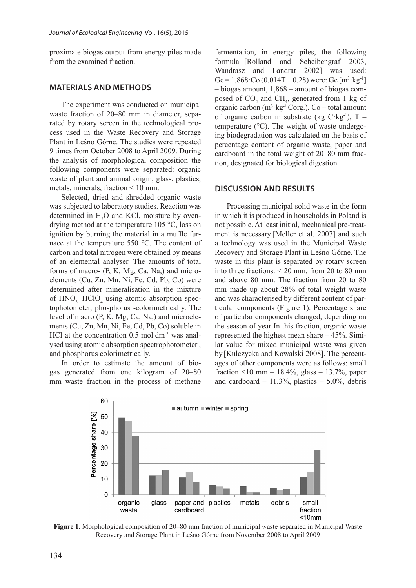proximate biogas output from energy piles made from the examined fraction.

### **MATERIALS AND METHODS**

The experiment was conducted on municipal waste fraction of 20–80 mm in diameter, separated by rotary screen in the technological process used in the Waste Recovery and Storage Plant in Leśno Górne. The studies were repeated 9 times from October 2008 to April 2009. During the analysis of morphological composition the following components were separated: organic waste of plant and animal origin, glass, plastics, metals, minerals, fraction < 10 mm.

Selected, dried and shredded organic waste was subjected to laboratory studies. Reaction was determined in  $H_2O$  and KCl, moisture by ovendrying method at the temperature 105 °C, loss on ignition by burning the material in a muffle furnace at the temperature 550 °C. The content of carbon and total nitrogen were obtained by means of an elemental analyser. The amounts of total forms of macro- (P, K, Mg, Ca, Na,) and microelements (Cu, Zn, Mn, Ni, Fe, Cd, Pb, Co) were determined after mineralisation in the mixture of  $HNO<sub>3</sub>+HClO<sub>4</sub>$  using atomic absorption spectophotometer, phosphorus -colorimetrically. The level of macro (P, K, Mg, Ca, Na,) and microelements (Cu, Zn, Mn, Ni, Fe, Cd, Pb, Co) soluble in HCl at the concentration 0.5 mol⋅dm<sup>-3</sup> was analysed using atomic absorption spectrophotometer , and phosphorus colorimetrically.

In order to estimate the amount of biogas generated from one kilogram of 20–80 mm waste fraction in the process of methane

fermentation, in energy piles, the following formula [Rolland and Scheibengraf 2003, Wandrasz and Landrat 2002] was used: Ge = 1,868  $\text{Co } (0,014T + 0,28)$  were: Ge  $[m^3 \text{ kg}^{-1}]$ – biogas amount, 1,868 – amount of biogas composed of  $CO_2$  and  $CH_4$ , generated from 1 kg of organic carbon  $(m^3 \text{ kg}^{-1} \text{Corg.})$ , Co – total amount of organic carbon in substrate (kg  $C \text{ kg}^{-1}$ ), T – temperature (°C). The weight of waste undergoing biodegradation was calculated on the basis of percentage content of organic waste, paper and cardboard in the total weight of 20–80 mm fraction, designated for biological digestion.

#### **DISCUSSION AND RESULTS**

Processing municipal solid waste in the form in which it is produced in households in Poland is not possible. At least initial, mechanical pre-treatment is necessary **[**Meller et al. 2007] and such a technology was used in the Municipal Waste Recovery and Storage Plant in Leśno Górne. The waste in this plant is separated by rotary screen into three fractions: < 20 mm, from 20 to 80 mm and above 80 mm. The fraction from 20 to 80 mm made up about 28% of total weight waste and was characterised by different content of particular components (Figure 1). Percentage share of particular components changed, depending on the season of year In this fraction, organic waste represented the highest mean share – 45%. Similar value for mixed municipal waste was given by [Kulczycka and Kowalski 2008]. The percentages of other components were as follows: small fraction <10 mm – 18.4%, glass – 13.7%, paper and cardboard –  $11.3\%$ , plastics –  $5.0\%$ , debris



**Figure 1.** Morphological composition of 20–80 mm fraction of municipal waste separated in Municipal Waste Recovery and Storage Plant in Leśno Górne from November 2008 to April 2009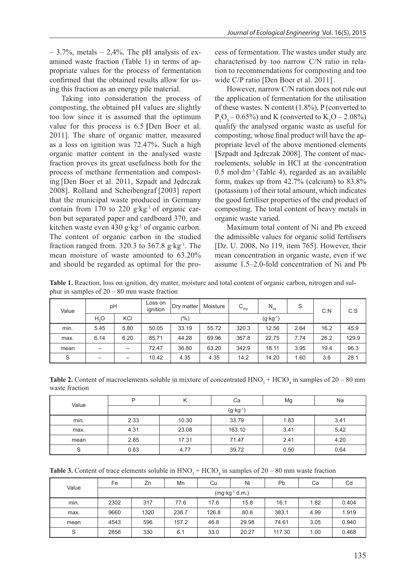$-3.7\%$ , metals  $-2.4\%$ . The pH analysis of examined waste fraction (Table 1) in terms of appropriate values for the process of fermentation confirmed that the obtained results allow for using this fraction as an energy pile material.

Taking into consideration the process of composting, the obtained pH values are slightly too low since it is assumed that the optimum value for this process is 6.5 **[**Den Boer et al. 2011]. The share of organic matter, measured as a loss on ignition was 72.47%. Such a high organic matter content in the analysed waste fraction proves its great usefulness both for the process of methane fermentation and composting [Den Boer et al. 2011, Szpadt and Jędrczak 2008]. Rolland and Scheibengraf [2003] report that the municipal waste produced in Germany contain from 170 to 220 g∙kg-1 of organic carbon but separated paper and cardboard 370, and kitchen waste even 430 g∙kg-1 of organic carbon. The content of organic carbon in the studied fraction ranged from. 320.3 to 367.8 g⋅kg<sup>-1</sup>. The mean moisture of waste amounted to 63.20% and should be regarded as optimal for the process of fermentation. The wastes under study are characterised by too narrow C/N ratio in relation to recommendations for composting and too wide C/P ratio [Den Boer et al. 2011].

However, narrow C/N ration does not rule out the application of fermentation for the utilisation of these wastes. N content (1.8%), P (converted to  $P_2O_5 - 0.65\%$ ) and K (converted to  $K_2O - 2.08\%$ ) qualify the analysed organic waste as useful for composting, whose final product will have the appropriate level of the above mentioned elements **[**Szpadt and Jędrczak 2008]. The content of macroelements, soluble in HCl at the concentration 0.5 mol∙dm-3 (Table 4), regarded as an available form, makes up from 42.7% (calcium) to 83.8% (potassium ) of their total amount, which indicates the good fertiliser properties of the end product of composting. The total content of heavy metals in organic waste varied.

Maximum total content of Ni and Pb exceed the admissible values for organic solid fertilisers [Dz. U. 2008, No 119, item 765]. However, their mean concentration in organic waste, even if we assume 1.5–2.0-fold concentration of Ni and Pb

**Table 1.** Reaction, loss on ignition, dry matter, moisture and total content of organic carbon, nitrogen and sulphur in samples of  $20 - 80$  mm waste fraction

| Value | pH               |      | Loss on<br>ignition | Dry matter | Moisture | $C_{\text{org}}$ | $N_{og}$            | S    | C: N | $C:$ S |
|-------|------------------|------|---------------------|------------|----------|------------------|---------------------|------|------|--------|
|       | H <sub>a</sub> O | KCI  | $(\% )$             |            |          |                  | $(g \cdot kg^{-1})$ |      |      |        |
| min.  | 5.45             | 5.80 | 50.05               | 33.19      | 55.72    | 320.3            | 12.56               | 2.64 | 16.2 | 45.9   |
| max.  | 6.14             | 6.20 | 85.71               | 44.28      | 69.96    | 367.8            | 22.75               | 7.74 | 26.2 | 129.9  |
| mean  |                  |      | 72.47               | 36.80      | 63.20    | 342.9            | 18.11               | 3.95 | 19.4 | 96.3   |
| S     |                  |      | 10.42               | 4.35       | 4.35     | 14.2             | 14.20               | 1.60 | 3.6  | 28.1   |

**Table 2.** Content of macroelements soluble in mixture of concentrated  $HNO_3 + HClO_4$  in samples of  $20 - 80$  mm waste fraction

| Value  |                     |       |        | Mg   | Na   |  |  |  |
|--------|---------------------|-------|--------|------|------|--|--|--|
|        | $(g \cdot kg^{-1})$ |       |        |      |      |  |  |  |
| min.   | 2.33                | 10.30 | 33.79  | 1.83 | 3.41 |  |  |  |
| max.   | 4.31                | 23.08 | 163.10 | 3.41 | 5.42 |  |  |  |
| mean   | 2.85                | 17.31 | 71.47  | 2.41 | 4.20 |  |  |  |
| ົ<br>◡ | 0.63                | 4.77  | 39.72  | 0.50 | 0.64 |  |  |  |

**Table 3.** Content of trace elements soluble in  $HNO_3 + HClO_4$  in samples of 20 – 80 mm waste fraction

| Value | Fe                        | Zn   | Mn    | Cu    | Ni    | Pb     | Co   | Cd    |
|-------|---------------------------|------|-------|-------|-------|--------|------|-------|
|       | $(mg \cdot kg^{-1} d.m.)$ |      |       |       |       |        |      |       |
| min.  | 2302                      | 317  | 77.6  | 17.6  | 15.8  | 16.1   | 1.82 | 0.404 |
| max.  | 9660                      | 1320 | 238.7 | 126.8 | 80.6  | 383.1  | 4.99 | 1.919 |
| mean  | 4543                      | 596  | 157.2 | 46.8  | 29.98 | 74.61  | 3.05 | 0.940 |
| S     | 2856                      | 330  | 6.1   | 33.0  | 20.27 | 117.30 | 1.00 | 0.468 |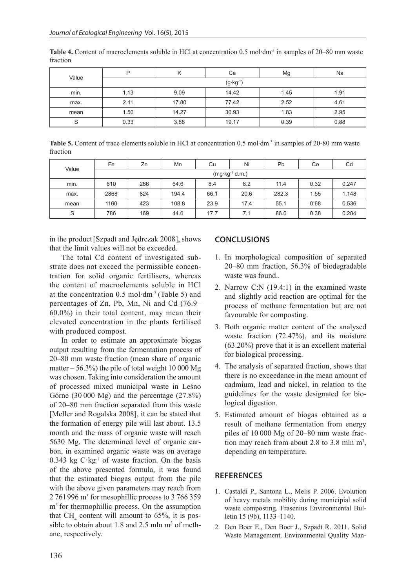|       | P                   | м     | Сa    | Mg   | Na   |  |  |  |  |
|-------|---------------------|-------|-------|------|------|--|--|--|--|
| Value | $(g \cdot kg^{-1})$ |       |       |      |      |  |  |  |  |
| min.  | 9.09<br>1.13        |       | 14.42 | 1.45 | 1.91 |  |  |  |  |
| max.  | 2.11                | 17.80 | 77.42 | 2.52 | 4.61 |  |  |  |  |
| mean  | 1.50                | 14.27 | 30.93 | 1.83 | 2.95 |  |  |  |  |
| S     | 0.33                | 3.88  | 19.17 | 0.39 | 0.88 |  |  |  |  |

**Table 4.** Content of macroelements soluble in HCl at concentration 0.5 mol∙dm-3 in samples of 20–80 mm waste fraction

**Table 5.** Content of trace elements soluble in HCl at concentration 0.5 mol∙dm-3 in samples of 20-80 mm waste fraction

| Value | Fe                        | Zn  | Mn    | Cu   | Ni   | Pb    | Co   | Cd    |  |
|-------|---------------------------|-----|-------|------|------|-------|------|-------|--|
|       | $(mg \cdot kg^{-1} d.m.)$ |     |       |      |      |       |      |       |  |
| min.  | 610                       | 266 | 64.6  | 8.4  | 8.2  | 11.4  | 0.32 | 0.247 |  |
| max.  | 2868                      | 824 | 194.4 | 66.1 | 20.6 | 282.3 | 1.55 | 1.148 |  |
| mean  | 1160                      | 423 | 108.8 | 23.9 | 17.4 | 55.1  | 0.68 | 0.536 |  |
| S     | 786                       | 169 | 44.6  | 17.7 | 7.1  | 86.6  | 0.38 | 0.284 |  |

in the product[Szpadt and Jędrczak 2008], shows that the limit values will not be exceeded.

The total Cd content of investigated substrate does not exceed the permissible concentration for solid organic fertilisers, whereas the content of macroelements soluble in HCl at the concentration 0.5 mol∙dm-3 (Table 5) and percentages of Zn, Pb, Mn, Ni and Cd (76.9– 60.0%) in their total content, may mean their elevated concentration in the plants fertilised with produced compost.

In order to estimate an approximate biogas output resulting from the fermentation process of 20–80 mm waste fraction (mean share of organic matter  $-56.3\%$ ) the pile of total weight 10 000 Mg was chosen. Taking into consideration the amount of processed mixed municipal waste in Leśno Górne (30 000 Mg) and the percentage (27.8%) of 20–80 mm fraction separated from this waste [Meller and Rogalska 2008], it can be stated that the formation of energy pile will last about. 13.5 month and the mass of organic waste will reach 5630 Mg. The determined level of organic carbon, in examined organic waste was on average 0.343 kg  $C \cdot kg^{-1}$  of waste fraction. On the basis of the above presented formula, it was found that the estimated biogas output from the pile with the above given parameters may reach from 2 761 996 m<sup>3</sup> for mesophillic process to 3 766 359 m<sup>3</sup> for thermophillic process. On the assumption that  $CH<sub>4</sub>$  content will amount to 65%, it is possible to obtain about 1.8 and 2.5 mln  $m<sup>3</sup>$  of methane, respectively.

## **CONCLUSIONS**

- 1. In morphological composition of separated 20–80 mm fraction, 56.3% of biodegradable waste was found..
- 2. Narrow C:N (19.4:1) in the examined waste and slightly acid reaction are optimal for the process of methane fermentation but are not favourable for composting.
- 3. Both organic matter content of the analysed waste fraction (72.47%), and its moisture (63.20%) prove that it is an excellent material for biological processing.
- 4. The analysis of separated fraction, shows that there is no exceedance in the mean amount of cadmium, lead and nickel, in relation to the guidelines for the waste designated for biological digestion.
- 5. Estimated amount of biogas obtained as a result of methane fermentation from energy piles of 10 000 Mg of 20–80 mm waste fraction may reach from about 2.8 to 3.8 mln  $m^3$ , depending on temperature.

## **REFERENCES**

- 1. Castaldi P., Santona L., Melis P. 2006. Evolution of heavy metals mobility during municipial solid waste composting. Frasenius Environmental Bulletin 15 (9b), 1133–1140.
- 2. Den Boer E., Den Boer J., Szpadt R. 2011. Solid Waste Management. Environmental Quality Man-